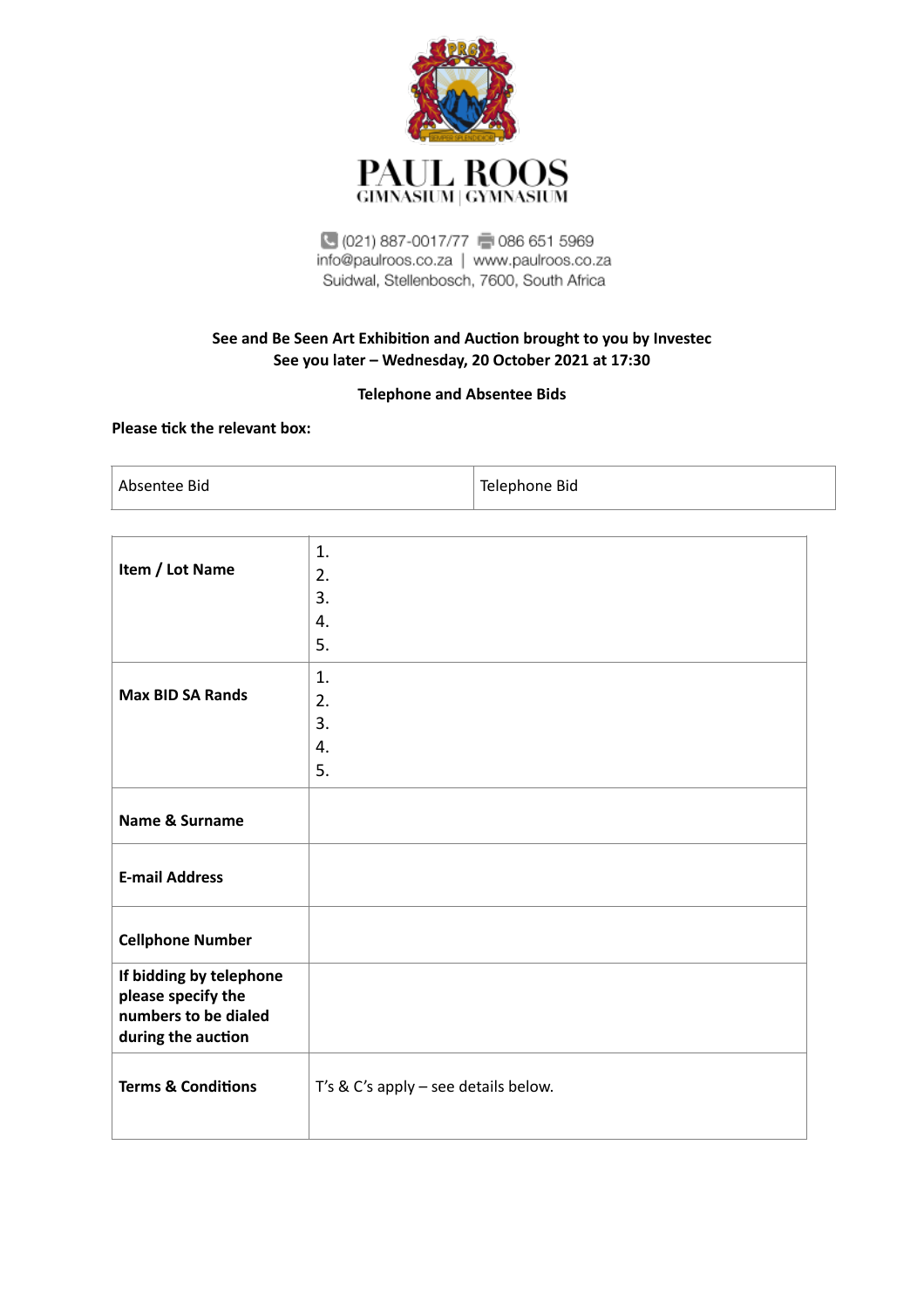

# 3969 (021) 887-0017/77 (3086 651 5969 info@paulroos.co.za | www.paulroos.co.za Suidwal, Stellenbosch, 7600, South Africa

# **See and Be Seen Art Exhibition and Auction brought to you by Investec See you later – Wednesday, 20 October 2021 at 17:30**

## **Telephone and Absentee Bids**

# **Please tick the relevant box:**

Absentee Bid Telephone Bid

| Item / Lot Name                                                                             | 1.<br>2.<br>3.<br>4.<br>5.           |
|---------------------------------------------------------------------------------------------|--------------------------------------|
| <b>Max BID SA Rands</b>                                                                     | 1.<br>2.<br>3.<br>4.<br>5.           |
| Name & Surname                                                                              |                                      |
| <b>E-mail Address</b>                                                                       |                                      |
| <b>Cellphone Number</b>                                                                     |                                      |
| If bidding by telephone<br>please specify the<br>numbers to be dialed<br>during the auction |                                      |
| <b>Terms &amp; Conditions</b>                                                               | T's & C's apply - see details below. |